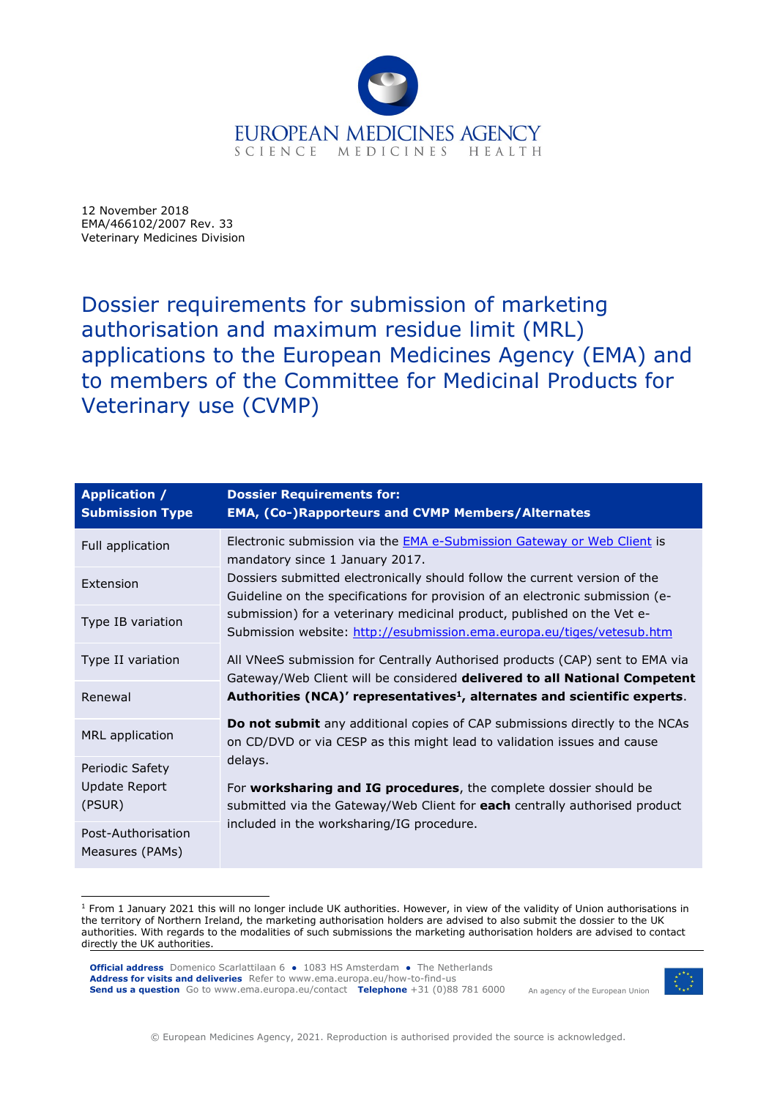

12 November 2018 EMA/466102/2007 Rev. 33 Veterinary Medicines Division

Dossier requirements for submission of marketing authorisation and maximum residue limit (MRL) applications to the European Medicines Agency (EMA) and to members of the Committee for Medicinal Products for Veterinary use (CVMP)

| <b>Application /</b><br><b>Submission Type</b> | <b>Dossier Requirements for:</b><br><b>EMA, (Co-)Rapporteurs and CVMP Members/Alternates</b>                                                                                                                                                                                                                                                                                                                                                                                                                                                                                                                                                                                               |
|------------------------------------------------|--------------------------------------------------------------------------------------------------------------------------------------------------------------------------------------------------------------------------------------------------------------------------------------------------------------------------------------------------------------------------------------------------------------------------------------------------------------------------------------------------------------------------------------------------------------------------------------------------------------------------------------------------------------------------------------------|
| Full application                               | Electronic submission via the <b>EMA e-Submission Gateway or Web Client</b> is<br>mandatory since 1 January 2017.<br>Dossiers submitted electronically should follow the current version of the<br>Guideline on the specifications for provision of an electronic submission (e-<br>submission) for a veterinary medicinal product, published on the Vet e-<br>Submission website: http://esubmission.ema.europa.eu/tiges/vetesub.htm<br>All VNeeS submission for Centrally Authorised products (CAP) sent to EMA via<br>Gateway/Web Client will be considered delivered to all National Competent<br>Authorities (NCA)' representatives <sup>1</sup> , alternates and scientific experts. |
| Extension                                      |                                                                                                                                                                                                                                                                                                                                                                                                                                                                                                                                                                                                                                                                                            |
| Type IB variation                              |                                                                                                                                                                                                                                                                                                                                                                                                                                                                                                                                                                                                                                                                                            |
| Type II variation                              |                                                                                                                                                                                                                                                                                                                                                                                                                                                                                                                                                                                                                                                                                            |
| Renewal                                        |                                                                                                                                                                                                                                                                                                                                                                                                                                                                                                                                                                                                                                                                                            |
| MRL application                                | Do not submit any additional copies of CAP submissions directly to the NCAs<br>on CD/DVD or via CESP as this might lead to validation issues and cause<br>delays.<br>For worksharing and IG procedures, the complete dossier should be<br>submitted via the Gateway/Web Client for each centrally authorised product<br>included in the worksharing/IG procedure.                                                                                                                                                                                                                                                                                                                          |
| Periodic Safety<br>Update Report<br>(PSUR)     |                                                                                                                                                                                                                                                                                                                                                                                                                                                                                                                                                                                                                                                                                            |
| Post-Authorisation<br>Measures (PAMs)          |                                                                                                                                                                                                                                                                                                                                                                                                                                                                                                                                                                                                                                                                                            |

<sup>&</sup>lt;sup>1</sup> From 1 January 2021 this will no longer include UK authorities. However, in view of the validity of Union authorisations in the territory of Northern Ireland, the marketing authorisation holders are advised to also submit the dossier to the UK authorities. With regards to the modalities of such submissions the marketing authorisation holders are advised to contact directly the UK authorities.

**Official address** Domenico Scarlattilaan 6 • 1083 HS Amsterdam • The Netherlands Address for visits and deliveries Refer to www.ema.europa.eu/how-to-find-us Send us a question Go to www.ema.europa.eu/contact Telephone +31 (0)88 781 6000



An agency of the European Union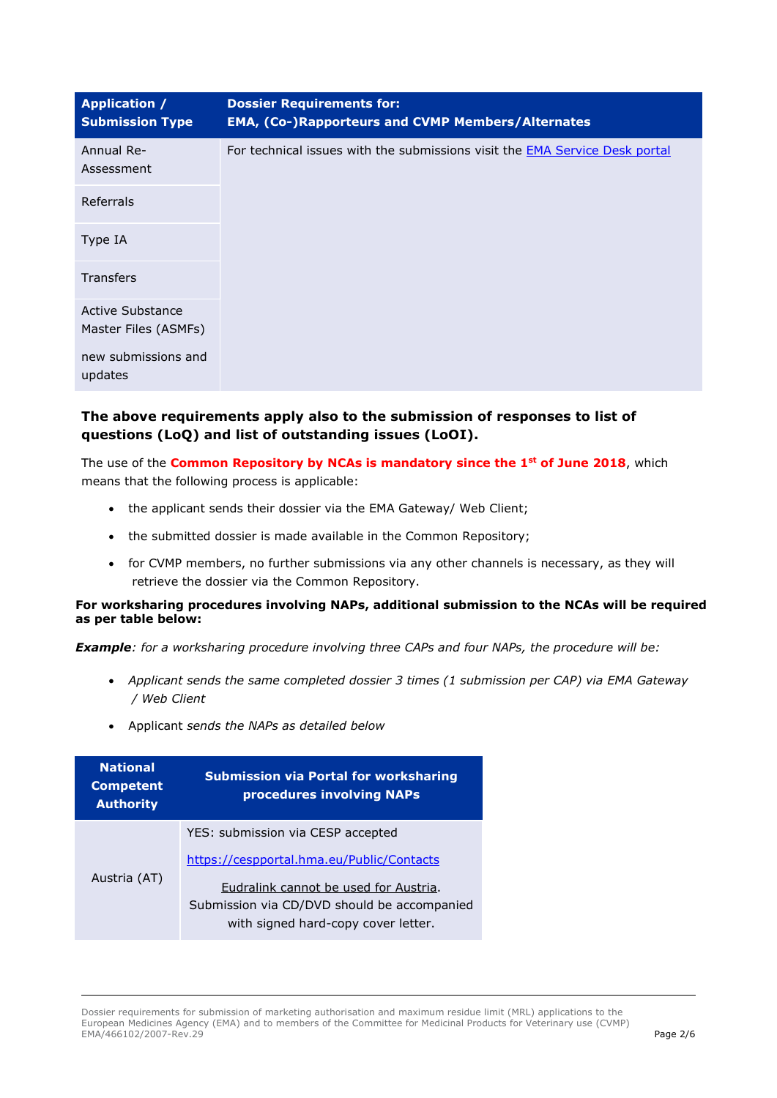| <b>Application /</b><br><b>Submission Type</b> | <b>Dossier Requirements for:</b><br><b>EMA, (Co-)Rapporteurs and CVMP Members/Alternates</b> |
|------------------------------------------------|----------------------------------------------------------------------------------------------|
| Annual Re-<br>Assessment                       | For technical issues with the submissions visit the <b>EMA Service Desk portal</b>           |
| Referrals                                      |                                                                                              |
| Type IA                                        |                                                                                              |
| <b>Transfers</b>                               |                                                                                              |
| Active Substance<br>Master Files (ASMFs)       |                                                                                              |
| new submissions and<br>updates                 |                                                                                              |

## The above requirements apply also to the submission of responses to list of questions (LoQ) and list of outstanding issues (LoOI).

The use of the Common Repository by NCAs is mandatory since the 1<sup>st</sup> of June 2018, which means that the following process is applicable:

- the applicant sends their dossier via the EMA Gateway/ Web Client;
- the submitted dossier is made available in the Common Repository;
- for CVMP members, no further submissions via any other channels is necessary, as they will retrieve the dossier via the Common Repository.

## For worksharing procedures involving NAPs, additional submission to the NCAs will be required as per table below:

**Example:** for a worksharing procedure involving three CAPs and four NAPs, the procedure will be:

- Applicant sends the same completed dossier 3 times (1 submission per CAP) via EMA Gateway / Web Client
- Applicant sends the NAPs as detailed below

| <b>National</b><br><b>Competent</b><br><b>Authority</b> | <b>Submission via Portal for worksharing</b><br>procedures involving NAPs            |
|---------------------------------------------------------|--------------------------------------------------------------------------------------|
| Austria (AT)                                            | YES: submission via CESP accepted                                                    |
|                                                         | https://cespportal.hma.eu/Public/Contacts                                            |
|                                                         | Eudralink cannot be used for Austria.<br>Submission via CD/DVD should be accompanied |
|                                                         | with signed hard-copy cover letter.                                                  |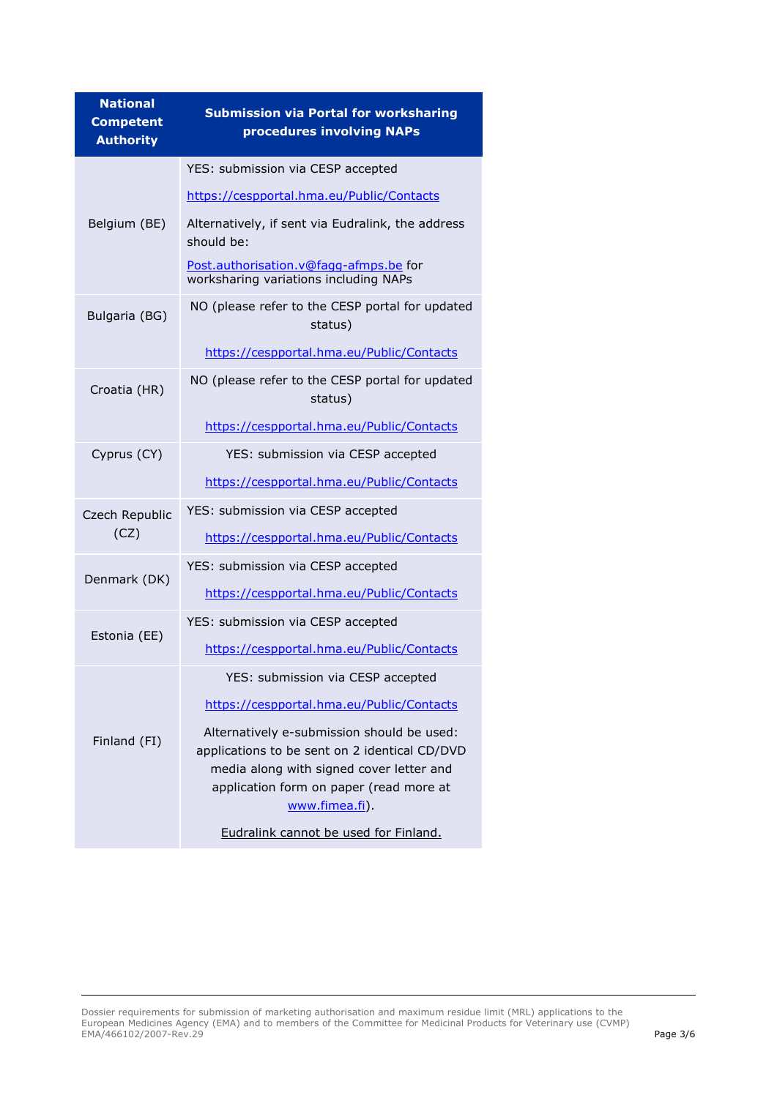| <b>National</b><br><b>Competent</b><br><b>Authority</b> | <b>Submission via Portal for worksharing</b><br>procedures involving NAPs                                                                                                                            |
|---------------------------------------------------------|------------------------------------------------------------------------------------------------------------------------------------------------------------------------------------------------------|
| Belgium (BE)                                            | YES: submission via CESP accepted                                                                                                                                                                    |
|                                                         | https://cespportal.hma.eu/Public/Contacts                                                                                                                                                            |
|                                                         | Alternatively, if sent via Eudralink, the address<br>should be:                                                                                                                                      |
|                                                         | Post.authorisation.v@fagg-afmps.be for<br>worksharing variations including NAPs                                                                                                                      |
| Bulgaria (BG)                                           | NO (please refer to the CESP portal for updated<br>status)                                                                                                                                           |
|                                                         | https://cespportal.hma.eu/Public/Contacts                                                                                                                                                            |
| Croatia (HR)                                            | NO (please refer to the CESP portal for updated<br>status)                                                                                                                                           |
|                                                         | https://cespportal.hma.eu/Public/Contacts                                                                                                                                                            |
| Cyprus (CY)                                             | YES: submission via CESP accepted                                                                                                                                                                    |
|                                                         | https://cespportal.hma.eu/Public/Contacts                                                                                                                                                            |
| Czech Republic                                          | YES: submission via CESP accepted                                                                                                                                                                    |
| (CZ)                                                    | https://cespportal.hma.eu/Public/Contacts                                                                                                                                                            |
| Denmark (DK)                                            | YES: submission via CESP accepted                                                                                                                                                                    |
|                                                         | https://cespportal.hma.eu/Public/Contacts                                                                                                                                                            |
|                                                         | YES: submission via CESP accepted                                                                                                                                                                    |
| Estonia (EE)                                            | https://cespportal.hma.eu/Public/Contacts                                                                                                                                                            |
| Finland (FI)                                            | YES: submission via CESP accepted                                                                                                                                                                    |
|                                                         | https://cespportal.hma.eu/Public/Contacts                                                                                                                                                            |
|                                                         | Alternatively e-submission should be used:<br>applications to be sent on 2 identical CD/DVD<br>media along with signed cover letter and<br>application form on paper (read more at<br>www.fimea.fi). |
|                                                         | Eudralink cannot be used for Finland.                                                                                                                                                                |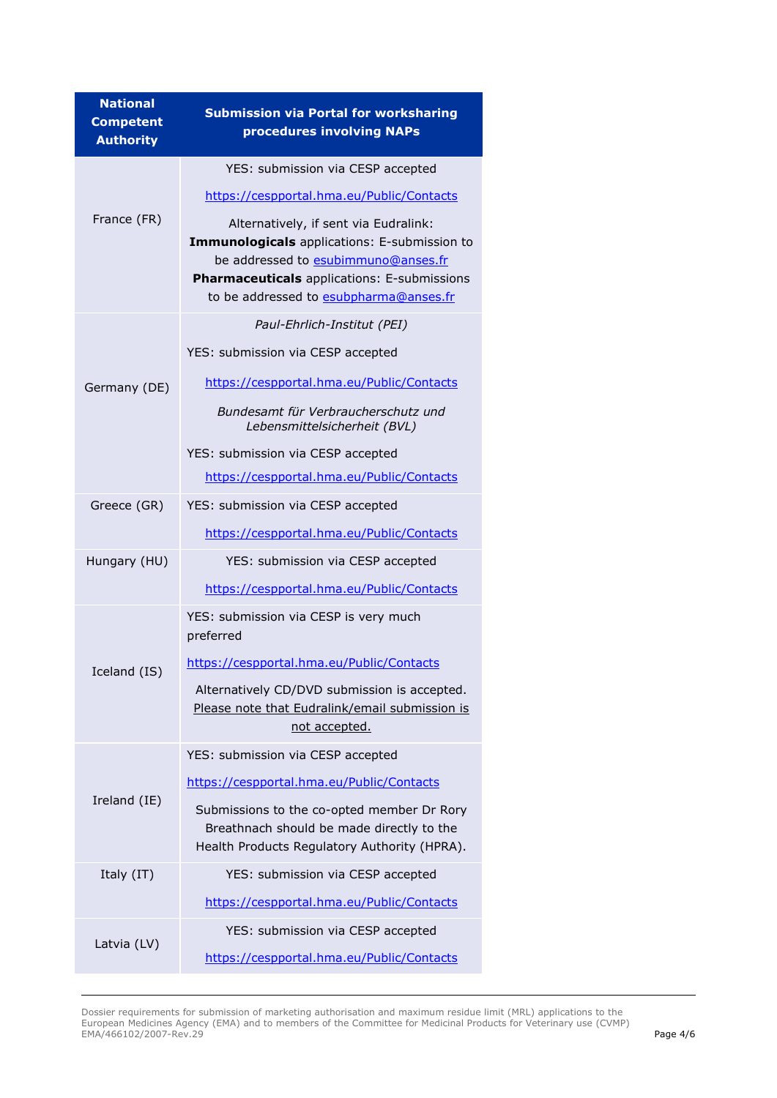| <b>National</b><br><b>Competent</b><br><b>Authority</b> | <b>Submission via Portal for worksharing</b><br>procedures involving NAPs                                                                                                                                             |
|---------------------------------------------------------|-----------------------------------------------------------------------------------------------------------------------------------------------------------------------------------------------------------------------|
|                                                         | YES: submission via CESP accepted                                                                                                                                                                                     |
|                                                         | https://cespportal.hma.eu/Public/Contacts                                                                                                                                                                             |
| France (FR)                                             | Alternatively, if sent via Eudralink:<br>Immunologicals applications: E-submission to<br>be addressed to esubimmuno@anses.fr<br>Pharmaceuticals applications: E-submissions<br>to be addressed to esubpharma@anses.fr |
|                                                         | Paul-Ehrlich-Institut (PEI)                                                                                                                                                                                           |
|                                                         | YES: submission via CESP accepted                                                                                                                                                                                     |
| Germany (DE)                                            | https://cespportal.hma.eu/Public/Contacts                                                                                                                                                                             |
|                                                         | Bundesamt für Verbraucherschutz und<br>Lebensmittelsicherheit (BVL)                                                                                                                                                   |
|                                                         | YES: submission via CESP accepted                                                                                                                                                                                     |
|                                                         | https://cespportal.hma.eu/Public/Contacts                                                                                                                                                                             |
| Greece (GR)                                             | YES: submission via CESP accepted                                                                                                                                                                                     |
|                                                         | https://cespportal.hma.eu/Public/Contacts                                                                                                                                                                             |
| Hungary (HU)                                            | YES: submission via CESP accepted                                                                                                                                                                                     |
|                                                         | https://cespportal.hma.eu/Public/Contacts                                                                                                                                                                             |
|                                                         | YES: submission via CESP is very much<br>preferred                                                                                                                                                                    |
| Iceland (IS)                                            | https://cespportal.hma.eu/Public/Contacts                                                                                                                                                                             |
|                                                         | Alternatively CD/DVD submission is accepted.<br>Please note that Eudralink/email submission is<br>not accepted.                                                                                                       |
|                                                         | YES: submission via CESP accepted                                                                                                                                                                                     |
|                                                         | https://cespportal.hma.eu/Public/Contacts                                                                                                                                                                             |
| Ireland (IE)                                            | Submissions to the co-opted member Dr Rory<br>Breathnach should be made directly to the<br>Health Products Regulatory Authority (HPRA).                                                                               |
| Italy (IT)                                              | YES: submission via CESP accepted                                                                                                                                                                                     |
|                                                         | https://cespportal.hma.eu/Public/Contacts                                                                                                                                                                             |
| Latvia (LV)                                             | YES: submission via CESP accepted                                                                                                                                                                                     |
|                                                         | https://cespportal.hma.eu/Public/Contacts                                                                                                                                                                             |

Dossier requirements for submission of marketing authorisation and maximum residue limit (MRL) applications to the European Medicines Agency (EMA) and to members of the Committee for Medicinal Products for Veterinary use (CVMP) EMA/466102/2007-Rev.29 Page 4/6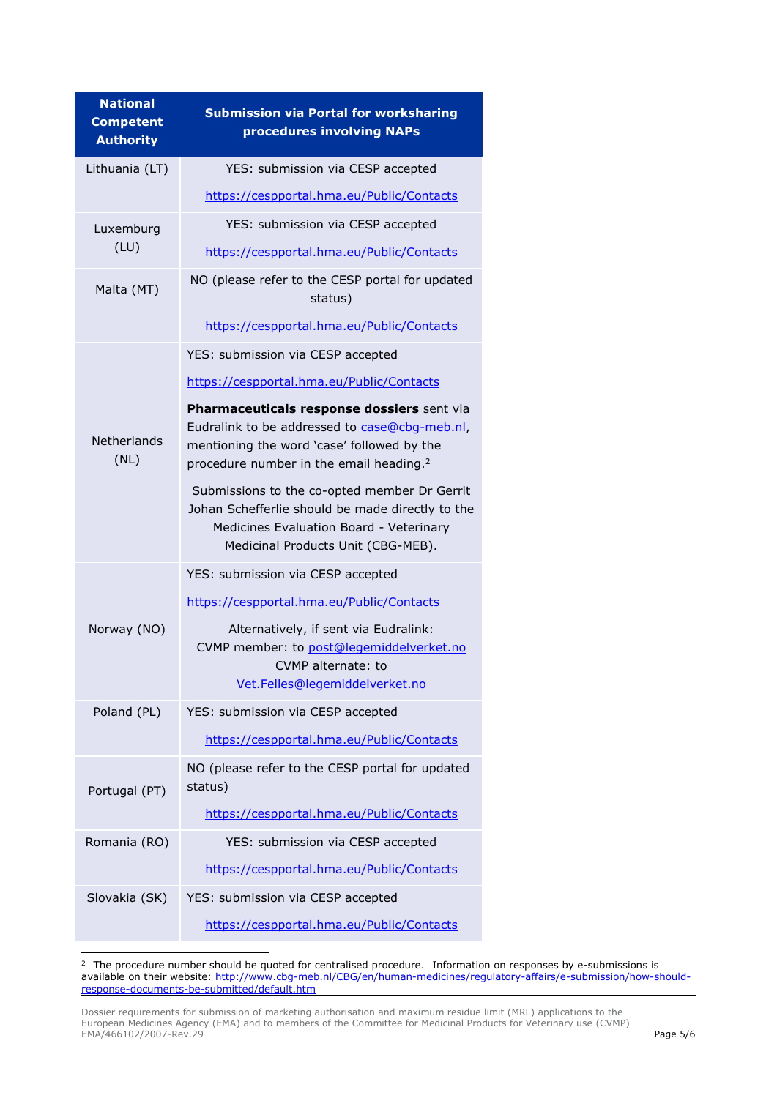| <b>National</b><br><b>Competent</b><br><b>Authority</b> | <b>Submission via Portal for worksharing</b><br>procedures involving NAPs                                                                                                                               |
|---------------------------------------------------------|---------------------------------------------------------------------------------------------------------------------------------------------------------------------------------------------------------|
| Lithuania (LT)                                          | YES: submission via CESP accepted                                                                                                                                                                       |
|                                                         | https://cespportal.hma.eu/Public/Contacts                                                                                                                                                               |
| Luxemburg<br>(LU)                                       | YES: submission via CESP accepted                                                                                                                                                                       |
|                                                         | https://cespportal.hma.eu/Public/Contacts                                                                                                                                                               |
| Malta (MT)                                              | NO (please refer to the CESP portal for updated<br>status)                                                                                                                                              |
|                                                         | https://cespportal.hma.eu/Public/Contacts                                                                                                                                                               |
|                                                         | YES: submission via CESP accepted                                                                                                                                                                       |
|                                                         | https://cespportal.hma.eu/Public/Contacts                                                                                                                                                               |
| <b>Netherlands</b><br>(NL)                              | <b>Pharmaceuticals response dossiers</b> sent via<br>Eudralink to be addressed to case@cbq-meb.nl,<br>mentioning the word 'case' followed by the<br>procedure number in the email heading. <sup>2</sup> |
|                                                         | Submissions to the co-opted member Dr Gerrit<br>Johan Schefferlie should be made directly to the<br>Medicines Evaluation Board - Veterinary<br>Medicinal Products Unit (CBG-MEB).                       |
|                                                         | YES: submission via CESP accepted                                                                                                                                                                       |
|                                                         | https://cespportal.hma.eu/Public/Contacts                                                                                                                                                               |
| Norway (NO)                                             | Alternatively, if sent via Eudralink:<br>CVMP member: to post@legemiddelverket.no<br>CVMP alternate: to<br>Vet.Felles@legemiddelverket.no                                                               |
| Poland (PL)                                             | YES: submission via CESP accepted                                                                                                                                                                       |
|                                                         | https://cespportal.hma.eu/Public/Contacts                                                                                                                                                               |
| Portugal (PT)                                           | NO (please refer to the CESP portal for updated<br>status)                                                                                                                                              |
|                                                         | https://cespportal.hma.eu/Public/Contacts                                                                                                                                                               |
| Romania (RO)                                            | YES: submission via CESP accepted                                                                                                                                                                       |
|                                                         | https://cespportal.hma.eu/Public/Contacts                                                                                                                                                               |
| Slovakia (SK)                                           | YES: submission via CESP accepted                                                                                                                                                                       |
|                                                         | https://cespportal.hma.eu/Public/Contacts                                                                                                                                                               |

<sup>&</sup>lt;sup>2</sup> The procedure number should be quoted for centralised procedure. Information on responses by e-submissions is available on their website: http://www.cbg-meb.nl/CBG/en/human-medicines/regulatory-affairs/e-submission/how-shouldresponse-documents-be-submitted/default.htm

Dossier requirements for submission of marketing authorisation and maximum residue limit (MRL) applications to the European Medicines Agency (EMA) and to members of the Committee for Medicinal Products for Veterinary use (CVMP) EMA/466102/2007-Rev.29 Page 5/6